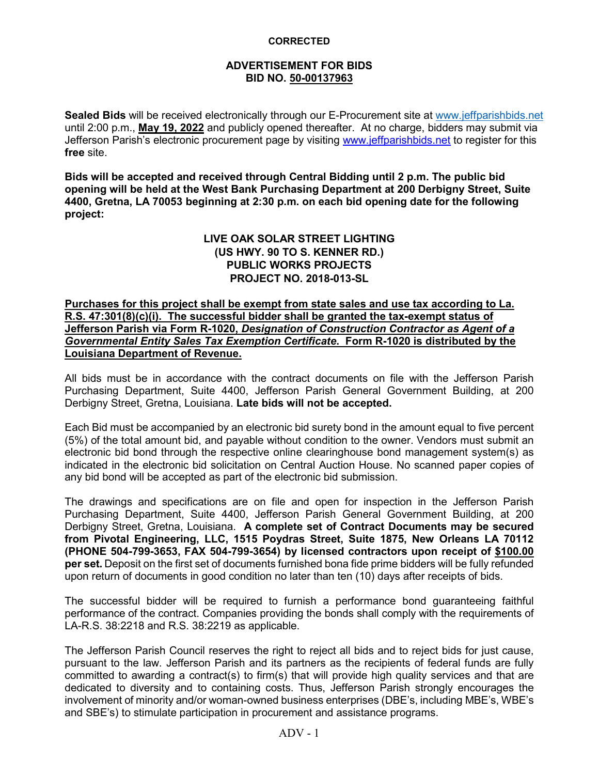## **ADVERTISEMENT FOR BIDS BID NO. 50-00137963**

**Sealed Bids** will be received electronically through our E-Procurement site at [www.jeffparishbids.net](http://www.jeffparishbids.net/) until 2:00 p.m., **May 19, 2022** and publicly opened thereafter. At no charge, bidders may submit via Jefferson Parish's electronic procurement page by visiting [www.jeffparishbids.net](http://www.jeffparishbids.net/) to register for this **free** site.

**Bids will be accepted and received through Central Bidding until 2 p.m. The public bid opening will be held at the West Bank Purchasing Department at 200 Derbigny Street, Suite 4400, Gretna, LA 70053 beginning at 2:30 p.m. on each bid opening date for the following project:**

## **LIVE OAK SOLAR STREET LIGHTING (US HWY. 90 TO S. KENNER RD.) PUBLIC WORKS PROJECTS PROJECT NO. 2018-013-SL**

**Purchases for this project shall be exempt from state sales and use tax according to La. R.S. 47:301(8)(c)(i). The successful bidder shall be granted the tax-exempt status of Jefferson Parish via Form R-1020,** *Designation of Construction Contractor as Agent of a Governmental Entity Sales Tax Exemption Certificate***. Form R-1020 is distributed by the Louisiana Department of Revenue.**

All bids must be in accordance with the contract documents on file with the Jefferson Parish Purchasing Department, Suite 4400, Jefferson Parish General Government Building, at 200 Derbigny Street, Gretna, Louisiana. **Late bids will not be accepted.**

Each Bid must be accompanied by an electronic bid surety bond in the amount equal to five percent (5%) of the total amount bid, and payable without condition to the owner. Vendors must submit an electronic bid bond through the respective online clearinghouse bond management system(s) as indicated in the electronic bid solicitation on Central Auction House. No scanned paper copies of any bid bond will be accepted as part of the electronic bid submission.

The drawings and specifications are on file and open for inspection in the Jefferson Parish Purchasing Department, Suite 4400, Jefferson Parish General Government Building, at 200 Derbigny Street, Gretna, Louisiana. **A complete set of Contract Documents may be secured from Pivotal Engineering, LLC, 1515 Poydras Street, Suite 1875, New Orleans LA 70112 (PHONE 504-799-3653, FAX 504-799-3654) by licensed contractors upon receipt of \$100.00 per set.** Deposit on the first set of documents furnished bona fide prime bidders will be fully refunded upon return of documents in good condition no later than ten (10) days after receipts of bids.

The successful bidder will be required to furnish a performance bond guaranteeing faithful performance of the contract. Companies providing the bonds shall comply with the requirements of LA-R.S. 38:2218 and R.S. 38:2219 as applicable.

The Jefferson Parish Council reserves the right to reject all bids and to reject bids for just cause, pursuant to the law. Jefferson Parish and its partners as the recipients of federal funds are fully committed to awarding a contract(s) to firm(s) that will provide high quality services and that are dedicated to diversity and to containing costs. Thus, Jefferson Parish strongly encourages the involvement of minority and/or woman-owned business enterprises (DBE's, including MBE's, WBE's and SBE's) to stimulate participation in procurement and assistance programs.